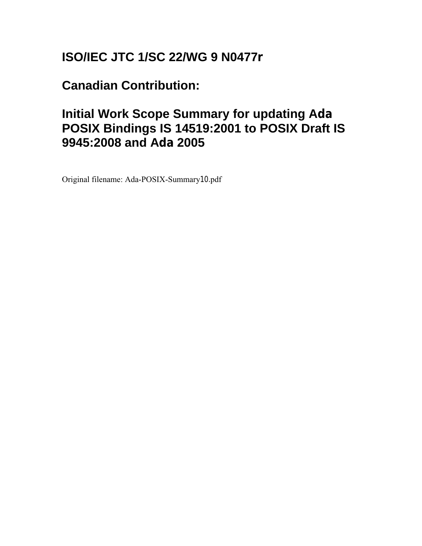# **ISO/IEC JTC 1/SC 22/WG 9 N0477r**

**Canadian Contribution:** 

## **Initial Work Scope Summary for updating Ada POSIX Bindings IS 14519:2001 to POSIX Draft IS 9945:2008 and Ada 2005**

Original filename: Ada-POSIX-Summary10.pdf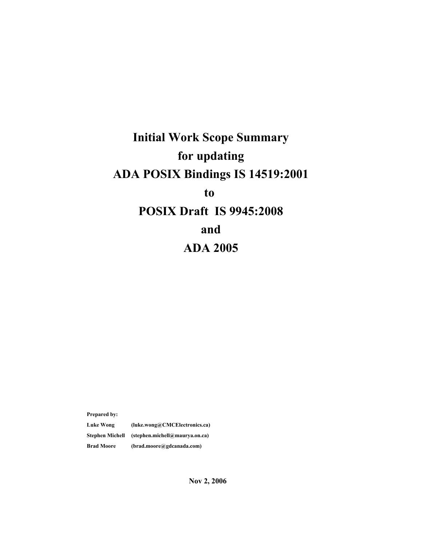# **Initial Work Scope Summary for updating ADA POSIX Bindings IS 14519:2001 to POSIX Draft IS 9945:2008 and ADA 2005**

**Prepared by:**

**Luke Wong (luke.wong@CMCElectronics.ca) Stephen Michell (stephen.michell@maurya.on.ca) Brad Moore (brad.moore@gdcanada.com)**

**Nov 2, 2006**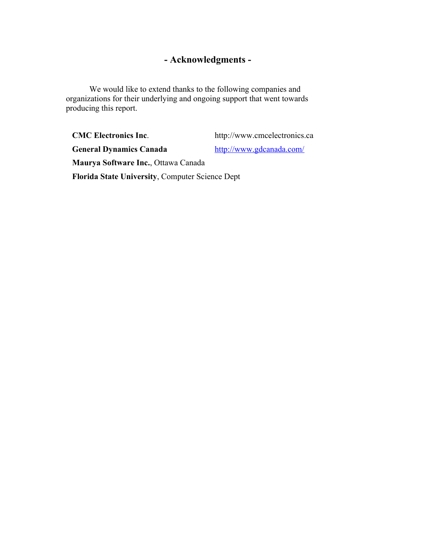### **- Acknowledgments -**

We would like to extend thanks to the following companies and organizations for their underlying and ongoing support that went towards producing this report.

**CMC Electronics Inc.** http://www.cmcelectronics.ca General Dynamics Canada <http://www.gdcanada.com/> **Maurya Software Inc.**, Ottawa Canada **Florida State University**, Computer Science Dept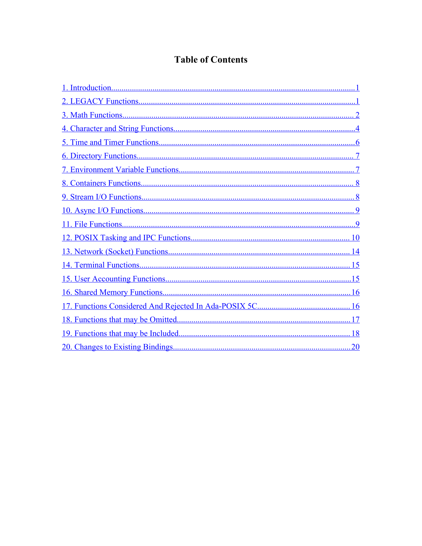### **Table of Contents**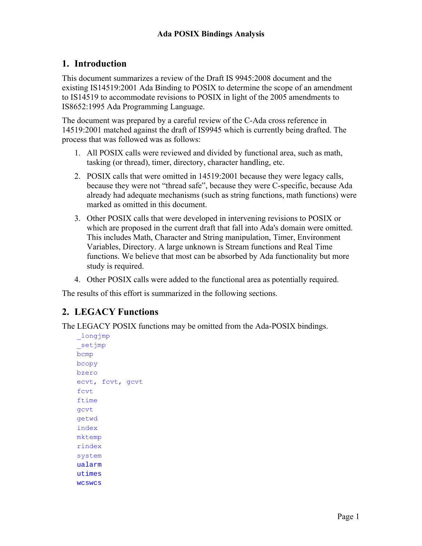### <span id="page-5-0"></span>**1. Introduction**

This document summarizes a review of the Draft IS 9945:2008 document and the existing IS14519:2001 Ada Binding to POSIX to determine the scope of an amendment to IS14519 to accommodate revisions to POSIX in light of the 2005 amendments to IS8652:1995 Ada Programming Language.

The document was prepared by a careful review of the C-Ada cross reference in 14519:2001 matched against the draft of IS9945 which is currently being drafted. The process that was followed was as follows:

- 1. All POSIX calls were reviewed and divided by functional area, such as math, tasking (or thread), timer, directory, character handling, etc.
- 2. POSIX calls that were omitted in 14519:2001 because they were legacy calls, because they were not "thread safe", because they were C-specific, because Ada already had adequate mechanisms (such as string functions, math functions) were marked as omitted in this document.
- 3. Other POSIX calls that were developed in intervening revisions to POSIX or which are proposed in the current draft that fall into Ada's domain were omitted. This includes Math, Character and String manipulation, Timer, Environment Variables, Directory. A large unknown is Stream functions and Real Time functions. We believe that most can be absorbed by Ada functionality but more study is required.
- 4. Other POSIX calls were added to the functional area as potentially required.

The results of this effort is summarized in the following sections.

### <span id="page-5-1"></span>**2. LEGACY Functions**

The LEGACY POSIX functions may be omitted from the Ada-POSIX bindings.

```
_longjmp
_setjmp
bcmp
bcopy
bzero
ecvt, fcvt, gcvt
fcvt
ftime
gcvt
getwd
index
mktemp
rindex
system
ualarm
utimes
wcswcs
```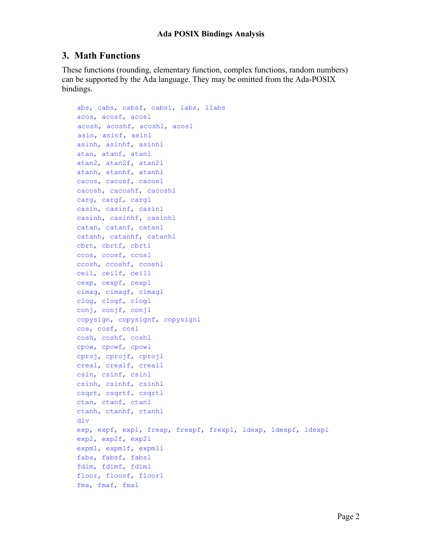#### <span id="page-6-0"></span>**3. Math Functions**

These functions (rounding, elementary function, complex functions, random numbers) can be supported by the Ada language. They may be omitted from the Ada-POSIX bindings.

```
abs, cabs, cabsf, cabsl, labs, llabs
acos, acosf, acosl
acosh, acoshf, acoshl, acosl
asin, asinf, asinl
asinh, asinhf, asinhl
atan, atanf, atanl
atan2, atan2f, atan2l
atanh, atanhf, atanhl
cacos, cacosf, cacosl
cacosh, cacoshf, cacoshl
carg, cargf, cargl
casin, casinf, casinl
casinh, casinhf, casinhl
catan, catanf, catanl
catanh, catanhf, catanhl
cbrt, cbrtf, cbrtl
ccos, ccosf, ccosl
ccosh, ccoshf, ccoshl
ceil, ceilf, ceill
cexp, cexpf, cexpl
cimag, cimagf, cimagl
clog, clogf, clogl
conj, conjf, conjl
copysign, copysignf, copysignl
cos, cosf, cosl
cosh, coshf, coshl
cpow, cpowf, cpowl
cproj, cprojf, cprojl
creal, crealf, creall
csin, csinf, csinl
csinh, csinhf, csinhl
csqrt, csqrtf, csqrtl
ctan, ctanf, ctanl
ctanh, ctanhf, ctanhl
div
exp, expf, expl, frexp, frexpf, frexpl, ldexp, ldexpf, ldexpl
exp2, exp2f, exp2l
expm1, expm1f, expm1l
fabs, fabsf, fabsl
fdim, fdimf, fdiml
floor, floorf, floorl
fma, fmaf, fmal
```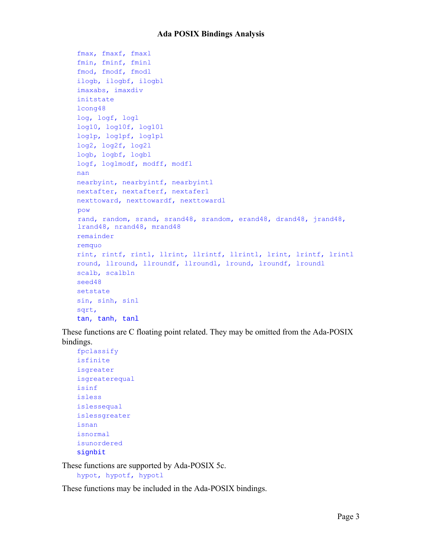```
fmax, fmaxf, fmaxl
fmin, fminf, fminl
fmod, fmodf, fmodl
ilogb, ilogbf, ilogbl
imaxabs, imaxdiv
initstate
lcong48
log, logf, logl
log10, log10f, log10l
log1p, log1pf, log1pl
log2, log2f, log2l
logb, logbf, logbl
logf, loglmodf, modff, modfl
nan
nearbyint, nearbyintf, nearbyintl
nextafter, nextafterf, nextaferl
nexttoward, nexttowardf, nexttowardl
pow
rand, random, srand, srand48, srandom, erand48, drand48, jrand48,
lrand48, nrand48, mrand48
remainder
remquo
rint, rintf, rintl, llrint, llrintf, llrintl, lrint, lrintf, lrintl
round, llround, llroundf, llroundl, lround, lroundf, lroundl
scalb, scalbln
seed48
setstate
sin, sinh, sinl
sqrt, 
tan, tanh, tanl
```
These functions are C floating point related. They may be omitted from the Ada-POSIX bindings.

```
fpclassify
isfinite
isgreater
isgreaterequal
isinf
isless
islessequal
islessgreater
isnan
isnormal
isunordered
signbit
```
These functions are supported by Ada-POSIX 5c.

```
hypot, hypotf, hypotl
```
These functions may be included in the Ada-POSIX bindings.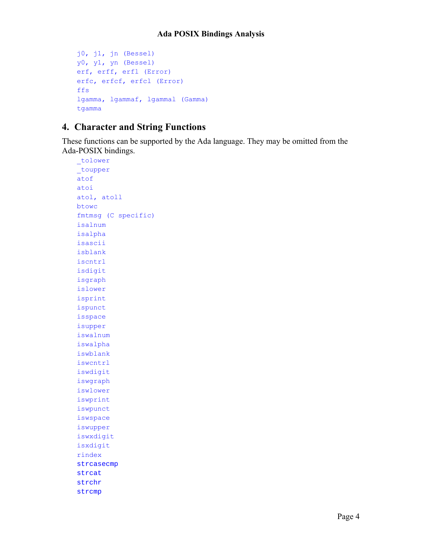```
j0, j1, jn (Bessel)
y0, y1, yn (Bessel)
erf, erff, erfl (Error)
erfc, erfcf, erfcl (Error)
ffs
lgamma, lgammaf, lgammal (Gamma)
tgamma
```
### <span id="page-8-0"></span>**4. Character and String Functions**

These functions can be supported by the Ada language. They may be omitted from the Ada-POSIX bindings.

```
tolower
_toupper
atof
atoi
atol, atoll
btowc
fmtmsg (C specific)
isalnum
isalpha
isascii
isblank
iscntrl
isdigit
isgraph
islower
isprint
ispunct
isspace
isupper
iswalnum
iswalpha
iswblank
iswcntrl
iswdigit
iswgraph
iswlower
iswprint
iswpunct
iswspace
iswupper
iswxdigit
isxdigit
rindex
strcasecmp
strcat 
strchr 
strcmp
```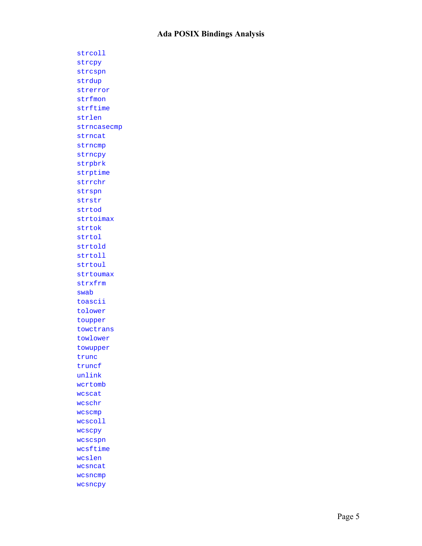strcoll strcpy strcspn strdup strerror strfmon strftime strlen strncasecmp strncat strncmp strncpy strpbrk strptime strrchr strspn strstr strtod strtoimax strtok strtol strtold strtoll strtoul strtoumax strxfrm swab toascii tolower toupper towctrans towlower towupper trunc truncf unlink wcrtomb wcscat wcschr wcscmp wcscoll wcscpy wcscspn wcsftime wcslen wcsncat wcsncmp wcsncpy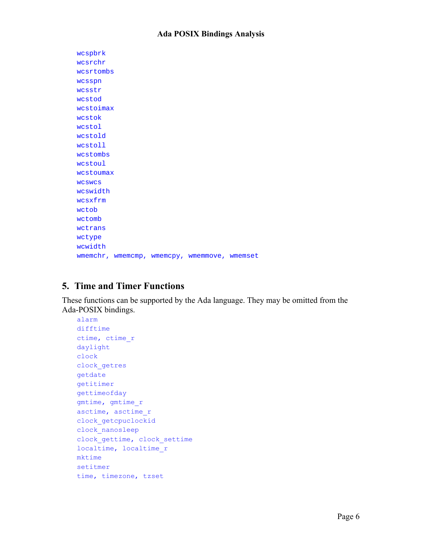| wcspbrk                                      |  |
|----------------------------------------------|--|
| wcsrchr                                      |  |
| wcsrtombs                                    |  |
| wcsspn                                       |  |
| wcsstr                                       |  |
| wcstod                                       |  |
| wcstoimax                                    |  |
| wcstok                                       |  |
| wcstol                                       |  |
| wcstold                                      |  |
| wcstoll                                      |  |
| wcstombs                                     |  |
| wcstoul                                      |  |
| wcstoumax                                    |  |
| <b>WCSWCS</b>                                |  |
| wcswidth                                     |  |
| wcsxfrm                                      |  |
| wctob                                        |  |
| wctomb                                       |  |
| wctrans                                      |  |
| wctype                                       |  |
| wcwidth                                      |  |
| wmemchr, wmemcmp, wmemcpy, wmemmove, wmemset |  |

### <span id="page-10-0"></span>**5. Time and Timer Functions**

These functions can be supported by the Ada language. They may be omitted from the Ada-POSIX bindings.

```
alarm
difftime
ctime, ctime_r
daylight
clock
clock_getres
getdate
getitimer
gettimeofday
gmtime, gmtime_r
asctime, asctime_r
clock_getcpuclockid
clock_nanosleep
clock_gettime, clock_settime
localtime, localtime_r
mktime
setitmer
time, timezone, tzset
```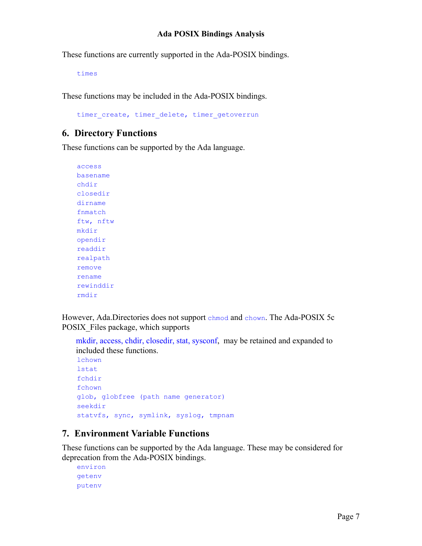These functions are currently supported in the Ada-POSIX bindings.

times

These functions may be included in the Ada-POSIX bindings.

timer create, timer delete, timer getoverrun

#### <span id="page-11-1"></span>**6. Directory Functions**

These functions can be supported by the Ada language.

```
access
basename
chdir
closedir
dirname
fnmatch
ftw, nftw
mkdir
opendir
readdir
realpath
remove
rename
rewinddir
rmdir
```
However, Ada.Directories does not support chmod and chown. The Ada-POSIX 5c POSIX\_Files package, which supports

mkdir, access, chdir, closedir, stat, sysconf, may be retained and expanded to included these functions. lchown

```
lstat
fchdir
fchown
glob, globfree (path name generator)
seekdir
statvfs, sync, symlink, syslog, tmpnam
```
### <span id="page-11-0"></span>**7. Environment Variable Functions**

These functions can be supported by the Ada language. These may be considered for deprecation from the Ada-POSIX bindings.

```
environ
getenv
putenv
```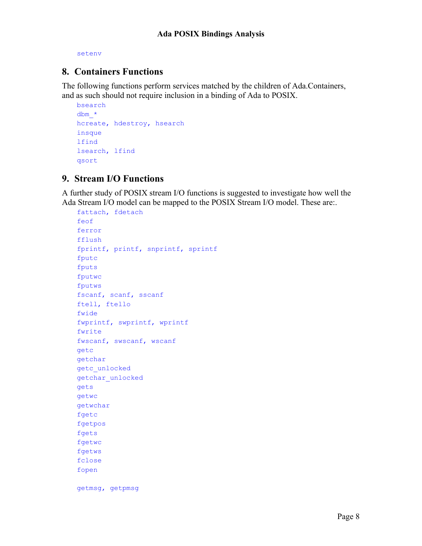setenv

#### <span id="page-12-1"></span>**8. Containers Functions**

The following functions perform services matched by the children of Ada.Containers, and as such should not require inclusion in a binding of Ada to POSIX.

```
bsearch
dbm_*
hcreate, hdestroy, hsearch
insque
lfind
lsearch, lfind
qsort
```
#### <span id="page-12-0"></span>**9. Stream I/O Functions**

A further study of POSIX stream I/O functions is suggested to investigate how well the Ada Stream I/O model can be mapped to the POSIX Stream I/O model. These are:.

```
fattach, fdetach
feof
ferror
fflush
fprintf, printf, snprintf, sprintf
fputc
fputs
fputwc
fputws
fscanf, scanf, sscanf
ftell, ftello
fwide
fwprintf, swprintf, wprintf
fwrite
fwscanf, swscanf, wscanf
getc
getchar
getc_unlocked
getchar_unlocked
gets
getwc
getwchar
fgetc
fgetpos
fgets
fgetwc
fgetws
fclose
fopen
getmsg, getpmsg
```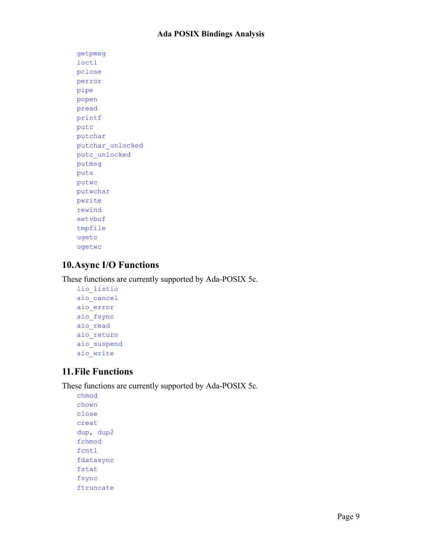getpmsg ioctl pclose perror pipe popen pread printf putc putchar putchar\_unlocked putc\_unlocked putmsg puts putwc putwchar pwrite rewind setvbuf tmpfile ugetc ugetwc

### <span id="page-13-1"></span>**10.Async I/O Functions**

These functions are currently supported by Ada-POSIX 5c.

lio\_listio aio\_cancel aio\_error aio\_fsync aio\_read aio\_return aio\_suspend aio\_write

### <span id="page-13-0"></span>**11.File Functions**

These functions are currently supported by Ada-POSIX 5c.

chmod chown close creat dup, dup2 fchmod fcntl fdatasync fstat fsync ftruncate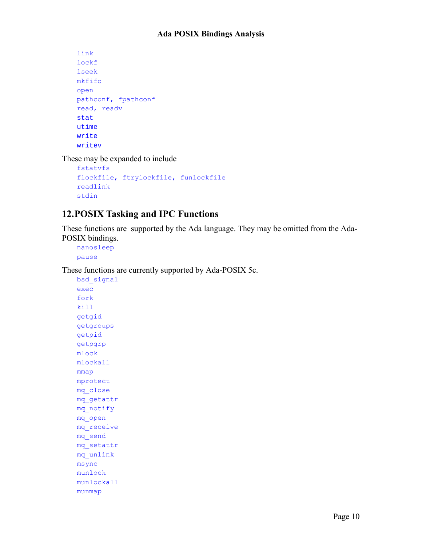```
link
lockf
lseek
mkfifo 
open
pathconf, fpathconf
read, readv
stat
utime
write
writev
```
These may be expanded to include

```
fstatvfs
flockfile, ftrylockfile, funlockfile
readlink
stdin
```
### <span id="page-14-0"></span>**12.POSIX Tasking and IPC Functions**

These functions are supported by the Ada language. They may be omitted from the Ada-POSIX bindings.

```
nanosleep
pause
```
These functions are currently supported by Ada-POSIX 5c.

```
bsd_signal
exec
fork
kill
getgid
getgroups
getpid
getpgrp
mlock
mlockall
mmap
mprotect
mq_close
mq_getattr
mq_notify
mq_open
mq_receive
mq_send
mq_setattr
mq_unlink
msync
munlock
munlockall
munmap
```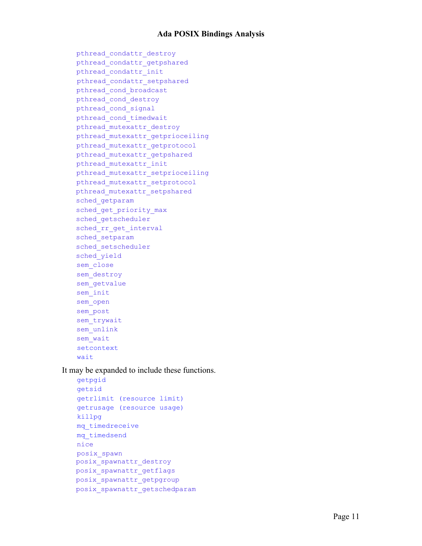```
pthread condattr destroy
pthread_condattr_getpshared
pthread_condattr_init
pthread condattr setpshared
pthread_cond_broadcast
pthread_cond_destroy
pthread_cond_signal
pthread_cond_timedwait
pthread_mutexattr_destroy
pthread mutexattr getprioceiling
pthread_mutexattr_getprotocol
pthread_mutexattr_getpshared
pthread_mutexattr_init
pthread mutexattr setprioceiling
pthread_mutexattr_setprotocol
pthread mutexattr setpshared
sched_getparam
sched get priority max
sched getscheduler
sched rr get interval
sched setparam
sched setscheduler
sched_yield
sem_close
sem destroy
sem getvalue
sem_init
sem_open
sem_post
sem trywait
sem_unlink
sem_wait
setcontext
wait
```
It may be expanded to include these functions.

```
getpgid
getsid
getrlimit (resource limit)
getrusage (resource usage)
killpg
mq_timedreceive
mq_timedsend
nice
posix_spawn
posix_spawnattr_destroy
posix_spawnattr_getflags
posix_spawnattr_getpgroup
posix_spawnattr_getschedparam
```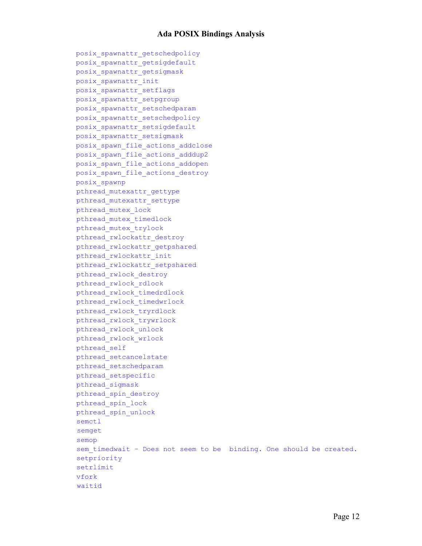```
posix_spawnattr_getschedpolicy
posix_spawnattr_getsigdefault
posix_spawnattr_getsigmask
posix_spawnattr_init
posix_spawnattr_setflags
posix_spawnattr_setpgroup
posix_spawnattr_setschedparam
posix_spawnattr_setschedpolicy
posix_spawnattr_setsigdefault
posix_spawnattr_setsigmask
posix spawn file actions addclose
posix_spawn_file_actions_adddup2
posix_spawn_file_actions_addopen
posix_spawn_file_actions_destroy
posix_spawnp
pthread_mutexattr_gettype
pthread_mutexattr_settype
pthread_mutex_lock
pthread_mutex_timedlock
pthread_mutex_trylock
pthread rwlockattr destroy
pthread rwlockattr getpshared
pthread_rwlockattr_init
pthread rwlockattr setpshared
pthread_rwlock_destroy
pthread_rwlock_rdlock
pthread_rwlock_timedrdlock
pthread_rwlock_timedwrlock
pthread_rwlock_tryrdlock
pthread_rwlock_trywrlock
pthread_rwlock_unlock
pthread_rwlock_wrlock
pthread_self
pthread_setcancelstate
pthread_setschedparam
pthread_setspecific
pthread_sigmask
pthread_spin_destroy
pthread_spin_lock
pthread_spin_unlock
semctl
semget
semop
sem timedwait - Does not seem to be binding. One should be created.
setpriority
setrlimit
vfork
waitid
```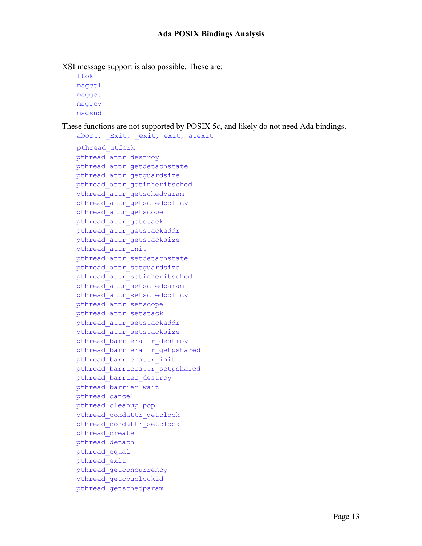XSI message support is also possible. These are:

```
ftok
msgctl
msgget
msgrcv
msgsnd
```
These functions are not supported by POSIX 5c, and likely do not need Ada bindings.

abort, Exit, exit, exit, atexit pthread\_atfork pthread\_attr\_destroy pthread attr getdetachstate pthread attr getguardsize pthread\_attr\_getinheritsched pthread\_attr\_getschedparam pthread\_attr\_getschedpolicy pthread\_attr\_getscope pthread\_attr\_getstack pthread\_attr\_getstackaddr pthread attr getstacksize pthread\_attr\_init pthread attr setdetachstate pthread attr setquardsize pthread\_attr\_setinheritsched pthread\_attr\_setschedparam pthread\_attr\_setschedpolicy pthread\_attr\_setscope pthread\_attr\_setstack pthread\_attr\_setstackaddr pthread attr setstacksize pthread barrierattr destroy pthread barrierattr getpshared pthread\_barrierattr\_init pthread barrierattr setpshared pthread\_barrier\_destroy pthread\_barrier\_wait pthread\_cancel pthread\_cleanup\_pop pthread\_condattr\_getclock pthread\_condattr\_setclock pthread\_create pthread\_detach pthread\_equal pthread\_exit pthread\_getconcurrency pthread\_getcpuclockid pthread\_getschedparam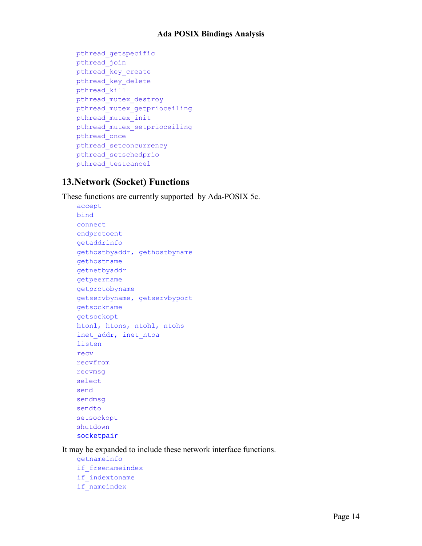```
pthread_getspecific
pthread_join
pthread_key_create
pthread_key_delete
pthread_kill
pthread_mutex_destroy
pthread_mutex_getprioceiling
pthread_mutex_init
pthread_mutex_setprioceiling
pthread_once
pthread_setconcurrency
pthread_setschedprio
pthread_testcancel
```
#### <span id="page-18-0"></span>**13.Network (Socket) Functions**

These functions are currently supported by Ada-POSIX 5c.

```
accept
bind
connect
endprotoent
getaddrinfo
gethostbyaddr, gethostbyname
gethostname
getnetbyaddr
getpeername
getprotobyname
getservbyname, getservbyport
getsockname
getsockopt
htonl, htons, ntohl, ntohs
inet_addr, inet_ntoa
listen
recv
recvfrom
recvmsg
select
send
sendmsg
sendto
setsockopt
shutdown
socketpair
```
It may be expanded to include these network interface functions.

```
getnameinfo
if_freenameindex
if_indextoname
if_nameindex
```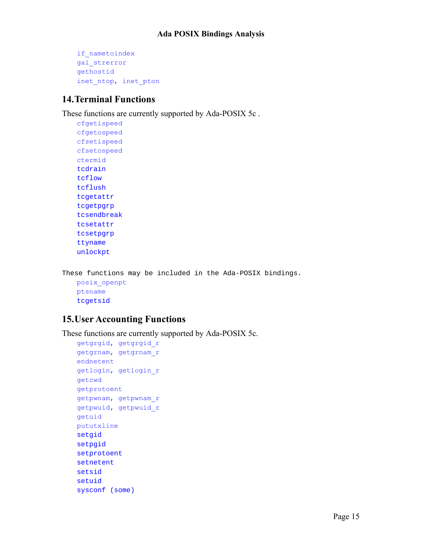```
if_nametoindex
gai_strerror
gethostid
inet ntop, inet pton
```
### <span id="page-19-1"></span>**14.Terminal Functions**

These functions are currently supported by Ada-POSIX 5c .

```
cfgetispeed
cfgetospeed
cfsetispeed
cfsetospeed
ctermid
tcdrain
tcflow 
tcflush
tcgetattr
tcgetpgrp
tcsendbreak
tcsetattr
tcsetpgrp
ttyname
unlockpt
```
These functions may be included in the Ada-POSIX bindings. posix\_openpt ptsname tcgetsid

### <span id="page-19-0"></span>**15.User Accounting Functions**

These functions are currently supported by Ada-POSIX 5c.

```
getgrgid, getgrgid_r
getgrnam, getgrnam_r
endnetent
getlogin, getlogin_r
getcwd
getprotoent
getpwnam, getpwnam_r
getpwuid, getpwuid_r
getuid
pututxline
setgid
setpgid
setprotoent
setnetent
setsid
setuid
sysconf (some)
```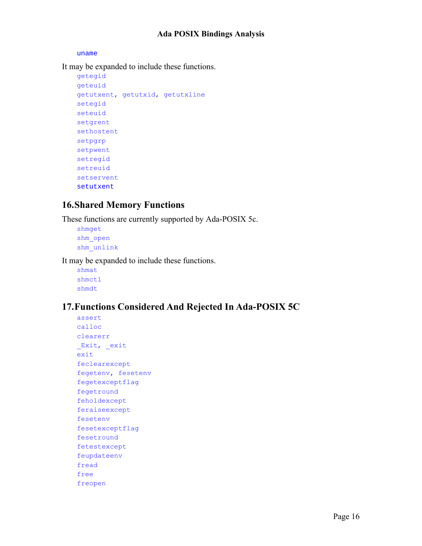uname

It may be expanded to include these functions.

```
getegid
geteuid
getutxent, getutxid, getutxline
setegid
seteuid
setgrent
sethostent
setpgrp
setpwent
setregid
setreuid
setservent
setutxent
```
### <span id="page-20-1"></span>**16.Shared Memory Functions**

These functions are currently supported by Ada-POSIX 5c.

shmget shm\_open shm\_unlink

It may be expanded to include these functions.

shmat shmctl shmdt

### <span id="page-20-0"></span>**17.Functions Considered And Rejected In Ada-POSIX 5C**

assert calloc clearerr Exit, exit exit feclearexcept fegetenv, fesetenv fegetexceptflag fegetround feholdexcept feraiseexcept fesetenv fesetexceptflag fesetround fetestexcept feupdateenv fread free freopen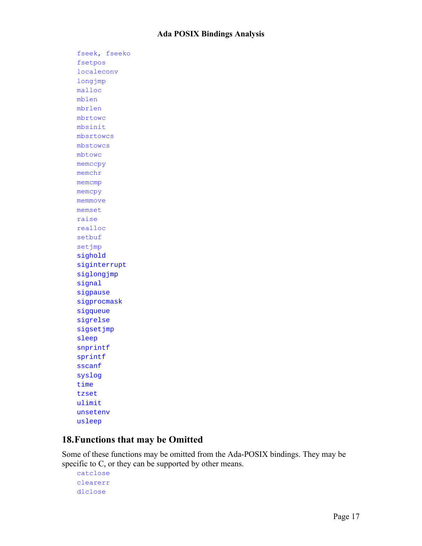fseek, fseeko fsetpos localeconv longjmp malloc mblen mbrlen mbrtowc mbsinit mbsrtowcs mbstowcs mbtowc memccpy memchr memcmp memcpy memmove memset raise realloc setbuf setjmp sighold siginterrupt siglongjmp signal sigpause sigprocmask sigqueue sigrelse sigsetjmp sleep snprintf sprintf sscanf syslog time tzset ulimit unsetenv usleep

#### <span id="page-21-0"></span>**18.Functions that may be Omitted**

Some of these functions may be omitted from the Ada-POSIX bindings. They may be specific to C, or they can be supported by other means.

```
catclose
clearerr
dlclose
```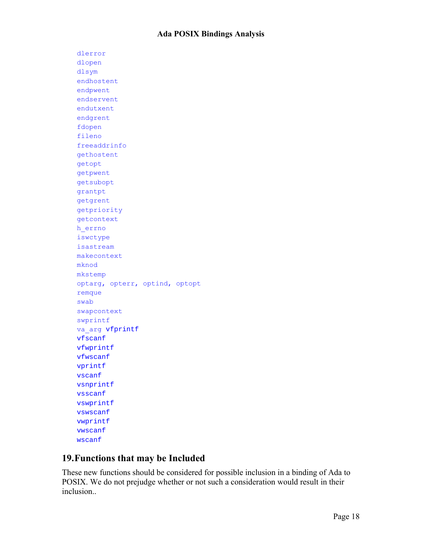dlerror dlopen dlsym endhostent endpwent endservent endutxent endgrent fdopen fileno freeaddrinfo gethostent getopt getpwent getsubopt grantpt getgrent getpriority getcontext h\_errno iswctype isastream makecontext mknod mkstemp optarg, opterr, optind, optopt remque swab swapcontext swprintf va\_arg vfprintf vfscanf vfwprintf vfwscanf vprintf vscanf vsnprintf vsscanf vswprintf vswscanf vwprintf vwscanf wscanf

### <span id="page-22-0"></span>**19.Functions that may be Included**

These new functions should be considered for possible inclusion in a binding of Ada to POSIX. We do not prejudge whether or not such a consideration would result in their *inclusion*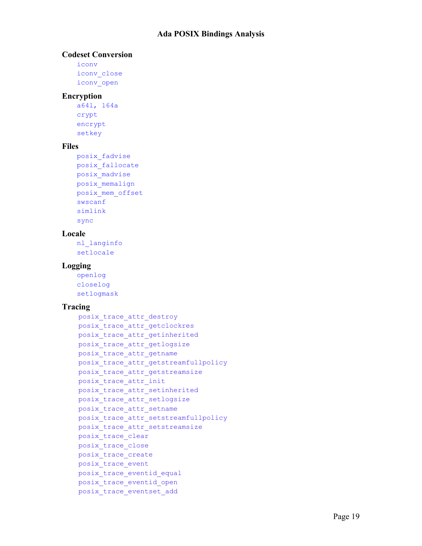#### **Codeset Conversion**

```
iconv
iconv_close
iconv_open
```
#### **Encryption**

```
a64l, l64a
crypt
encrypt
setkey
```
#### **Files**

```
posix_fadvise
posix_fallocate
posix_madvise
posix_memalign
posix_mem_offset
swscanf
simlink
sync
```
#### **Locale**

nl\_langinfo setlocale

#### **Logging**

openlog closelog setlogmask

#### **Tracing**

```
posix trace attr destroy
posix_trace_attr_getclockres
posix trace attr getinherited
posix_trace_attr_getlogsize
posix_trace_attr_getname
posix trace attr getstreamfullpolicy
posix trace attr getstreamsize
posix_trace_attr_init
posix_trace_attr_setinherited
posix_trace_attr_setlogsize
posix trace attr setname
posix trace attr setstreamfullpolicy
posix trace attr setstreamsize
posix_trace_clear
posix_trace_close
posix_trace_create
posix_trace_event
posix_trace_eventid_equal
posix_trace_eventid_open
posix_trace_eventset_add
```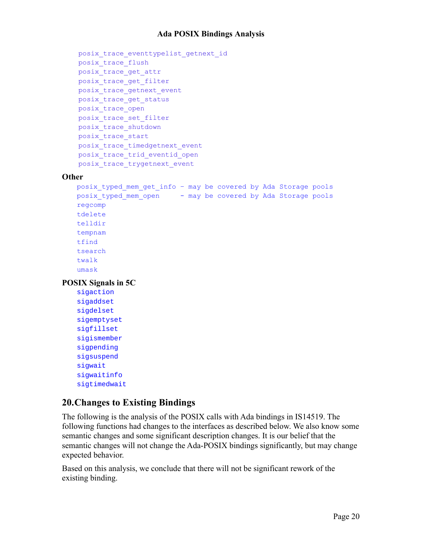```
posix trace eventtypelist getnext id
posix_trace_flush
posix_trace_get_attr
posix_trace_get_filter
posix_trace_getnext_event
posix_trace_get_status
posix_trace_open
posix_trace_set_filter
posix_trace_shutdown
posix_trace_start
posix trace timedgetnext event
posix_trace_trid_eventid_open
posix_trace_trygetnext_event
```
#### **Other**

```
posix_typed_mem_get_info – may be covered by Ada Storage pools
posix typed mem open - may be covered by Ada Storage pools
regcomp
tdelete
telldir
tempnam
tfind
tsearch
twalk
umask
```
**POSIX Signals in 5C**

sigaction sigaddset sigdelset sigemptyset sigfillset sigismember sigpending sigsuspend sigwait sigwaitinfo sigtimedwait

#### <span id="page-24-0"></span>**20.Changes to Existing Bindings**

The following is the analysis of the POSIX calls with Ada bindings in IS14519. The following functions had changes to the interfaces as described below. We also know some semantic changes and some significant description changes. It is our belief that the semantic changes will not change the Ada-POSIX bindings significantly, but may change expected behavior.

Based on this analysis, we conclude that there will not be significant rework of the existing binding.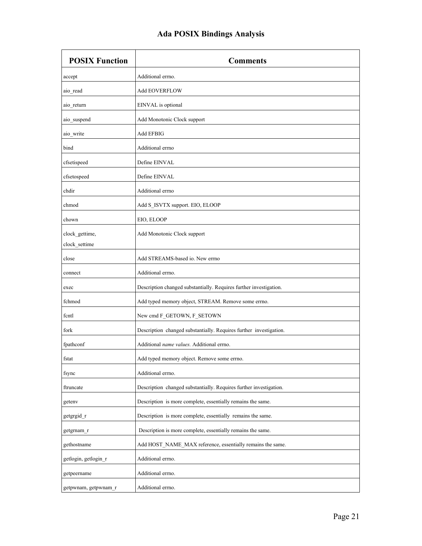| <b>POSIX Function</b>           | <b>Comments</b>                                                    |
|---------------------------------|--------------------------------------------------------------------|
| accept                          | Additional errno.                                                  |
| aio read                        | <b>Add EOVERFLOW</b>                                               |
| aio_return                      | EINVAL is optional                                                 |
| aio_suspend                     | Add Monotonic Clock support                                        |
| aio_write                       | Add EFBIG                                                          |
| bind                            | Additional errno                                                   |
| cfsetispeed                     | Define EINVAL                                                      |
| cfsetospeed                     | Define EINVAL                                                      |
| chdir                           | Additional errno                                                   |
| chmod                           | Add S_ISVTX support. EIO, ELOOP                                    |
| chown                           | EIO, ELOOP                                                         |
| clock gettime,<br>clock_settime | Add Monotonic Clock support                                        |
| close                           | Add STREAMS-based io. New errno                                    |
| connect                         | Additional errno.                                                  |
| exec                            | Description changed substantially. Requires further investigation. |
| fchmod                          | Add typed memory object, STREAM. Remove some errno.                |
| fcntl                           | New cmd F_GETOWN, F_SETOWN                                         |
| fork                            | Description changed substantially. Requires further investigation. |
| fpathconf                       | Additional name values. Additional errno.                          |
| fstat                           | Add typed memory object. Remove some errno.                        |
| fsync                           | Additional errno.                                                  |
| ftruncate                       | Description changed substantially. Requires further investigation. |
| getenv                          | Description is more complete, essentially remains the same.        |
| getgrgid_r                      | Description is more complete, essentially remains the same.        |
| getgrnam r                      | Description is more complete, essentially remains the same.        |
| gethostname                     | Add HOST NAME MAX reference, essentially remains the same.         |
| getlogin, getlogin r            | Additional errno.                                                  |
| getpeername                     | Additional errno.                                                  |
| getpwnam, getpwnam_r            | Additional errno.                                                  |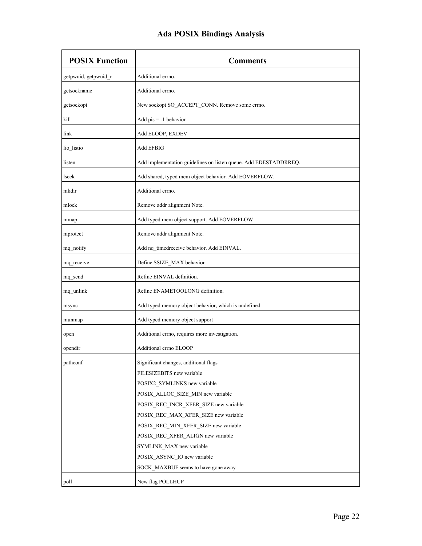| <b>POSIX Function</b> | <b>Comments</b>                                                  |
|-----------------------|------------------------------------------------------------------|
| getpwuid, getpwuid_r  | Additional errno.                                                |
| getsockname           | Additional errno.                                                |
| getsockopt            | New sockopt SO_ACCEPT_CONN. Remove some errno.                   |
| kill                  | Add $pis = -1$ behavior                                          |
| link                  | Add ELOOP, EXDEV                                                 |
| lio_listio            | Add EFBIG                                                        |
| listen                | Add implementation guidelines on listen queue. Add EDESTADDRREQ. |
| lseek                 | Add shared, typed mem object behavior. Add EOVERFLOW.            |
| mkdir                 | Additional errno.                                                |
| mlock                 | Remove addr alignment Note.                                      |
| mmap                  | Add typed mem object support. Add EOVERFLOW                      |
| mprotect              | Remove addr alignment Note.                                      |
| mq_notify             | Add nq_timedreceive behavior. Add EINVAL.                        |
| mq_receive            | Define SSIZE_MAX behavior                                        |
| mq send               | Refine EINVAL definition.                                        |
| mq_unlink             | Refine ENAMETOOLONG definition.                                  |
| msync                 | Add typed memory object behavior, which is undefined.            |
| munmap                | Add typed memory object support                                  |
| open                  | Additional errno, requires more investigation.                   |
| opendir               | Additional errno ELOOP                                           |
| pathconf              | Significant changes, additional flags                            |
|                       | FILESIZEBITS new variable                                        |
|                       | POSIX2 SYMLINKS new variable                                     |
|                       | POSIX_ALLOC_SIZE_MIN new variable                                |
|                       | POSIX_REC_INCR_XFER_SIZE new variable                            |
|                       | POSIX REC MAX XFER SIZE new variable                             |
|                       | POSIX_REC_MIN_XFER_SIZE new variable                             |
|                       | POSIX REC XFER ALIGN new variable                                |
|                       | SYMLINK_MAX new variable                                         |
|                       | POSIX_ASYNC_IO new variable                                      |
|                       | SOCK MAXBUF seems to have gone away                              |
| poll                  | New flag POLLHUP                                                 |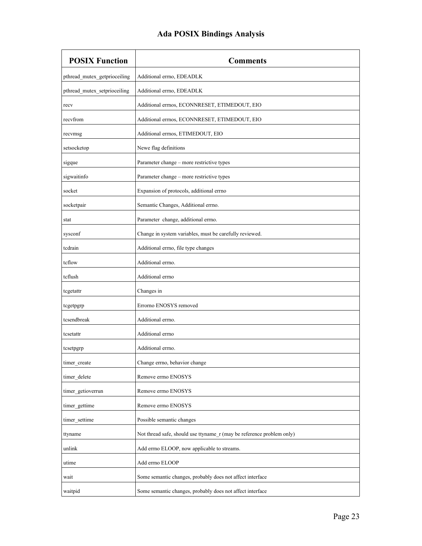| <b>POSIX Function</b>        | <b>Comments</b>                                                       |
|------------------------------|-----------------------------------------------------------------------|
| pthread_mutex_getprioceiling | Additional errno, EDEADLK                                             |
| pthread_mutex_setprioceiling | Additional errno, EDEADLK                                             |
| recv                         | Additional errnos, ECONNRESET, ETIMEDOUT, EIO                         |
| recyfrom                     | Additional errnos, ECONNRESET, ETIMEDOUT, EIO                         |
| recvmsg                      | Additional errnos, ETIMEDOUT, EIO                                     |
| setsocketop                  | Newe flag definitions                                                 |
| sigque                       | Parameter change - more restrictive types                             |
| sigwaitinfo                  | Parameter change - more restrictive types                             |
| socket                       | Expansion of protocols, additional errno                              |
| socketpair                   | Semantic Changes, Additional errno.                                   |
| stat                         | Parameter change, additional errno.                                   |
| sysconf                      | Change in system variables, must be carefully reviewed.               |
| tcdrain                      | Additional errno, file type changes                                   |
| tcflow                       | Additional errno.                                                     |
| tcflush                      | Additional errno                                                      |
| tcgetattr                    | Changes in                                                            |
| tcgetpgrp                    | Errorno ENOSYS removed                                                |
| tcsendbreak                  | Additional errno.                                                     |
| tcsetattr                    | Additional errno                                                      |
| tcsetpgrp                    | Additional errno.                                                     |
| timer_create                 | Change errno, behavior change                                         |
| timer_delete                 | Remove errno ENOSYS                                                   |
| timer_getioverrun            | Remove errno ENOSYS                                                   |
| timer_gettime                | Remove errno ENOSYS                                                   |
| timer_settime                | Possible semantic changes                                             |
| ttyname                      | Not thread safe, should use ttyname_r (may be reference problem only) |
| unlink                       | Add errno ELOOP, now applicable to streams.                           |
| utime                        | Add errno ELOOP                                                       |
| wait                         | Some semantic changes, probably does not affect interface             |
| waitpid                      | Some semantic changes, probably does not affect interface             |